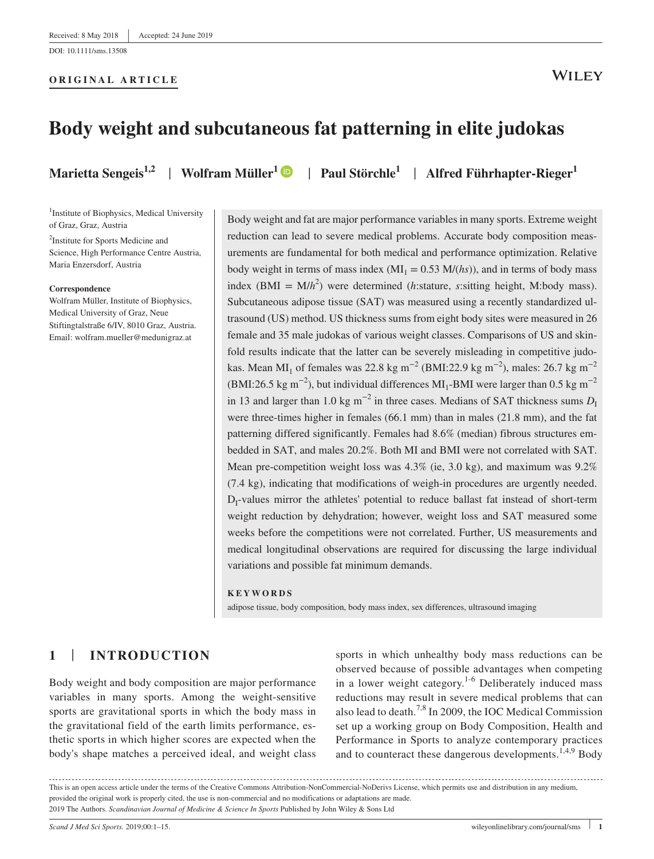#### **ORIGINAL ARTICLE**

# **WILEY**

# **Body weight and subcutaneous fat patterning in elite judokas**

**Marietta Sengeis1,2** | **Wolfram Müller[1](https://orcid.org/0000-0002-7433-9926)** | **Paul Störchle1** | **Alfred Führhapter‐Rieger1**

1 Institute of Biophysics, Medical University of Graz, Graz, Austria

2 Institute for Sports Medicine and Science, High Performance Centre Austria, Maria Enzersdorf, Austria

#### **Correspondence**

Wolfram Müller, Institute of Biophysics, Medical University of Graz, Neue Stiftingtalstraße 6/IV, 8010 Graz, Austria. Email: [wolfram.mueller@medunigraz.at](mailto:wolfram.mueller@medunigraz.at)

Body weight and fat are major performance variables in many sports. Extreme weight reduction can lead to severe medical problems. Accurate body composition measurements are fundamental for both medical and performance optimization. Relative body weight in terms of mass index  $(MI_1 = 0.53 M/(h<sub>s</sub>))$ , and in terms of body mass index (BMI =  $M/h^2$ ) were determined (*h*:stature, *s*:sitting height, M:body mass). Subcutaneous adipose tissue (SAT) was measured using a recently standardized ultrasound (US) method. US thickness sums from eight body sites were measured in 26 female and 35 male judokas of various weight classes. Comparisons of US and skinfold results indicate that the latter can be severely misleading in competitive judokas. Mean MI<sub>1</sub> of females was 22.8 kg m<sup>-2</sup> (BMI:22.9 kg m<sup>-2</sup>), males: 26.7 kg m<sup>-2</sup> (BMI:26.5 kg m<sup>-2</sup>), but individual differences MI<sub>1</sub>-BMI were larger than 0.5 kg m<sup>-2</sup> in 13 and larger than 1.0 kg m<sup>-2</sup> in three cases. Medians of SAT thickness sums  $D<sub>I</sub>$ were three-times higher in females (66.1 mm) than in males (21.8 mm), and the fat patterning differed significantly. Females had 8.6% (median) fibrous structures embedded in SAT, and males 20.2%. Both MI and BMI were not correlated with SAT. Mean pre-competition weight loss was 4.3% (ie, 3.0 kg), and maximum was 9.2% (7.4 kg), indicating that modifications of weigh‐in procedures are urgently needed.  $D_I$ -values mirror the athletes' potential to reduce ballast fat instead of short-term weight reduction by dehydration; however, weight loss and SAT measured some weeks before the competitions were not correlated. Further, US measurements and medical longitudinal observations are required for discussing the large individual variations and possible fat minimum demands.

#### **KEYWORDS**

adipose tissue, body composition, body mass index, sex differences, ultrasound imaging

# **1** | **INTRODUCTION**

Body weight and body composition are major performance variables in many sports. Among the weight‐sensitive sports are gravitational sports in which the body mass in the gravitational field of the earth limits performance, esthetic sports in which higher scores are expected when the body's shape matches a perceived ideal, and weight class

sports in which unhealthy body mass reductions can be observed because of possible advantages when competing in a lower weight category.<sup>1-6</sup> Deliberately induced mass reductions may result in severe medical problems that can also lead to death.7,8 In 2009, the IOC Medical Commission set up a working group on Body Composition, Health and Performance in Sports to analyze contemporary practices and to counteract these dangerous developments.<sup>1,4,9</sup> Body

This is an open access article under the terms of the Creative Commons Attribution-NonCommercial-NoDerivs License, which permits use and distribution in any medium, provided the original work is properly cited, the use is non‐commercial and no modifications or adaptations are made. 2019 The Authors. *Scandinavian Journal of Medicine & Science In Sports* Published by John Wiley & Sons Ltd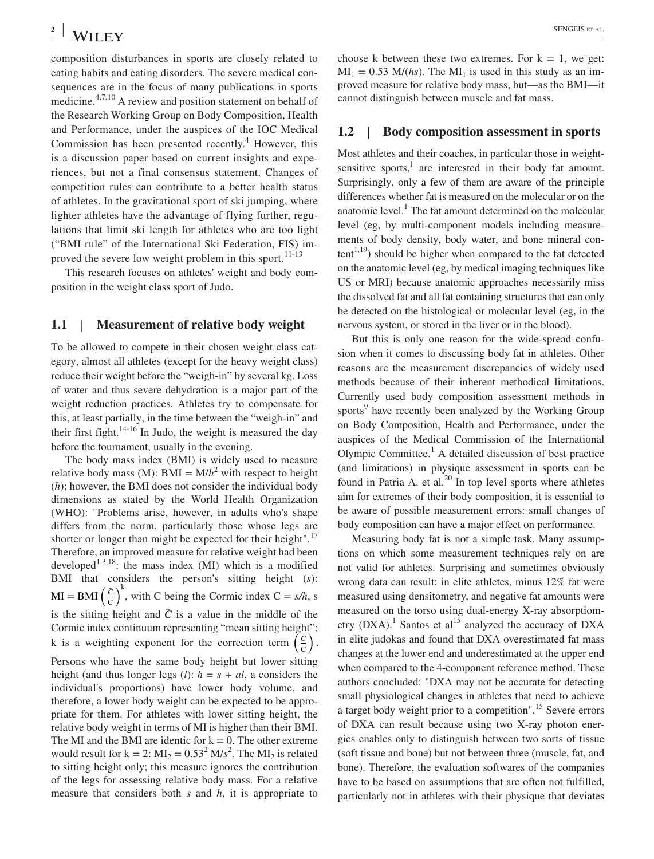composition disturbances in sports are closely related to eating habits and eating disorders. The severe medical consequences are in the focus of many publications in sports medicine.4,7,10 A review and position statement on behalf of the Research Working Group on Body Composition, Health and Performance, under the auspices of the IOC Medical Commission has been presented recently. $4$  However, this is a discussion paper based on current insights and experiences, but not a final consensus statement. Changes of competition rules can contribute to a better health status of athletes. In the gravitational sport of ski jumping, where lighter athletes have the advantage of flying further, regulations that limit ski length for athletes who are too light ("BMI rule" of the International Ski Federation, FIS) improved the severe low weight problem in this sport. $11-13$ 

This research focuses on athletes' weight and body composition in the weight class sport of Judo.

## **1.1** | **Measurement of relative body weight**

To be allowed to compete in their chosen weight class category, almost all athletes (except for the heavy weight class) reduce their weight before the "weigh‐in" by several kg. Loss of water and thus severe dehydration is a major part of the weight reduction practices. Athletes try to compensate for this, at least partially, in the time between the "weigh‐in" and their first fight. $14-16$  In Judo, the weight is measured the day before the tournament, usually in the evening.

The body mass index (BMI) is widely used to measure relative body mass (M):  $\text{BMI} = \text{M}/h^2$  with respect to height (*h*); however, the BMI does not consider the individual body dimensions as stated by the World Health Organization (WHO): "Problems arise, however, in adults who's shape differs from the norm, particularly those whose legs are shorter or longer than might be expected for their height".<sup>17</sup> Therefore, an improved measure for relative weight had been developed<sup>1,3,18</sup>: the mass index (MI) which is a modified BMI that considers the person's sitting height (*s*):  $MI = BMI \left(\frac{\bar{c}}{c}\right)^k$ , with C being the Cormic index  $C = s/h$ , s is the sitting height and  $\overline{C}$  is a value in the middle of the Cormic index continuum representing "mean sitting height"; k is a weighting exponent for the correction term  $\left(\frac{\bar{c}}{c}\right)$ . Persons who have the same body height but lower sitting height (and thus longer legs  $(l)$ :  $h = s + al$ , a considers the individual's proportions) have lower body volume, and therefore, a lower body weight can be expected to be appropriate for them. For athletes with lower sitting height, the relative body weight in terms of MI is higher than their BMI. The MI and the BMI are identic for  $k = 0$ . The other extreme would result for  $k = 2$ :  $MI_2 = 0.53<sup>2</sup> M/s<sup>2</sup>$ . The  $MI_2$  is related to sitting height only; this measure ignores the contribution of the legs for assessing relative body mass. For a relative measure that considers both *s* and *h*, it is appropriate to

choose k between these two extremes. For  $k = 1$ , we get:  $MI_1 = 0.53$  M/(*hs*). The MI<sub>1</sub> is used in this study as an improved measure for relative body mass, but—as the BMI—it cannot distinguish between muscle and fat mass.

#### **1.2** | **Body composition assessment in sports**

Most athletes and their coaches, in particular those in weightsensitive sports, $\frac{1}{1}$  are interested in their body fat amount. Surprisingly, only a few of them are aware of the principle differences whether fat is measured on the molecular or on the anatomic level.<sup>1</sup> The fat amount determined on the molecular level (eg, by multi-component models including measurements of body density, body water, and bone mineral con $tent$ <sup>1,19</sup>) should be higher when compared to the fat detected on the anatomic level (eg, by medical imaging techniques like US or MRI) because anatomic approaches necessarily miss the dissolved fat and all fat containing structures that can only be detected on the histological or molecular level (eg, in the nervous system, or stored in the liver or in the blood).

But this is only one reason for the wide‐spread confusion when it comes to discussing body fat in athletes. Other reasons are the measurement discrepancies of widely used methods because of their inherent methodical limitations. Currently used body composition assessment methods in sports<sup>9</sup> have recently been analyzed by the Working Group on Body Composition, Health and Performance, under the auspices of the Medical Commission of the International Olympic Committee.<sup>1</sup> A detailed discussion of best practice (and limitations) in physique assessment in sports can be found in Patria A. et al. $^{20}$  In top level sports where athletes aim for extremes of their body composition, it is essential to be aware of possible measurement errors: small changes of body composition can have a major effect on performance.

Measuring body fat is not a simple task. Many assumptions on which some measurement techniques rely on are not valid for athletes. Surprising and sometimes obviously wrong data can result: in elite athletes, minus 12% fat were measured using densitometry, and negative fat amounts were measured on the torso using dual‐energy X‐ray absorptiometry  $(DXA)^{1}$  Santos et al<sup>15</sup> analyzed the accuracy of DXA in elite judokas and found that DXA overestimated fat mass changes at the lower end and underestimated at the upper end when compared to the 4‐component reference method. These authors concluded: "DXA may not be accurate for detecting small physiological changes in athletes that need to achieve a target body weight prior to a competition".<sup>15</sup> Severe errors of DXA can result because using two X‐ray photon energies enables only to distinguish between two sorts of tissue (soft tissue and bone) but not between three (muscle, fat, and bone). Therefore, the evaluation softwares of the companies have to be based on assumptions that are often not fulfilled, particularly not in athletes with their physique that deviates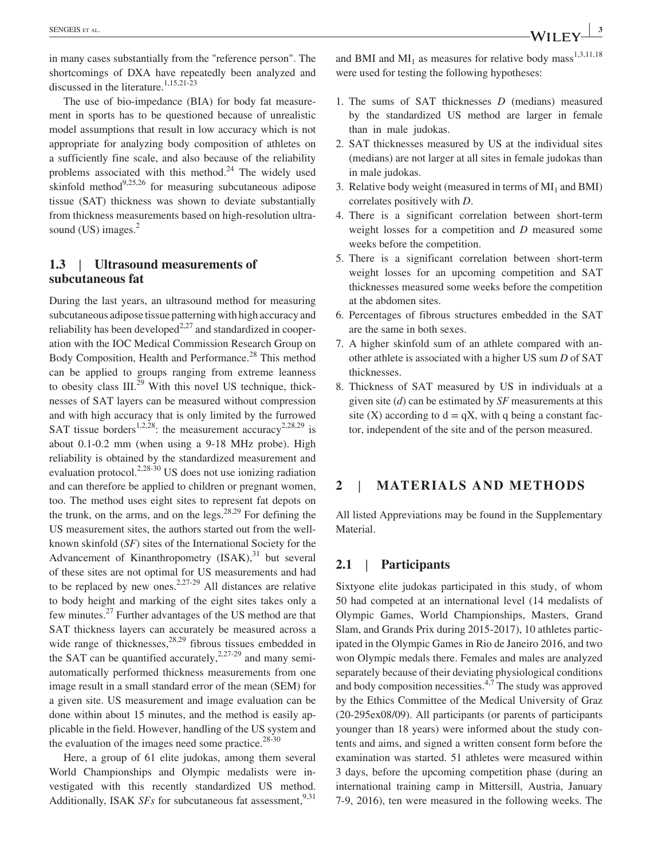in many cases substantially from the "reference person". The shortcomings of DXA have repeatedly been analyzed and discussed in the literature.<sup>1,15,21-23</sup>

The use of bio-impedance (BIA) for body fat measurement in sports has to be questioned because of unrealistic model assumptions that result in low accuracy which is not appropriate for analyzing body composition of athletes on a sufficiently fine scale, and also because of the reliability problems associated with this method. $24$  The widely used skinfold method<sup>9,25,26</sup> for measuring subcutaneous adipose tissue (SAT) thickness was shown to deviate substantially from thickness measurements based on high-resolution ultrasound (US) images. $<sup>2</sup>$ </sup>

# **1.3** | **Ultrasound measurements of subcutaneous fat**

During the last years, an ultrasound method for measuring subcutaneous adipose tissue patterning with high accuracy and reliability has been developed<sup>2,27</sup> and standardized in cooperation with the IOC Medical Commission Research Group on Body Composition, Health and Performance.<sup>28</sup> This method can be applied to groups ranging from extreme leanness to obesity class  $III^{29}$  With this novel US technique, thicknesses of SAT layers can be measured without compression and with high accuracy that is only limited by the furrowed SAT tissue borders<sup>1,2,28</sup>: the measurement accuracy<sup>2,28,29</sup> is about 0.1‐0.2 mm (when using a 9‐18 MHz probe). High reliability is obtained by the standardized measurement and evaluation protocol.<sup>2,28-30</sup> US does not use ionizing radiation and can therefore be applied to children or pregnant women, too. The method uses eight sites to represent fat depots on the trunk, on the arms, and on the legs.<sup>28,29</sup> For defining the US measurement sites, the authors started out from the well‐ known skinfold (*SF*) sites of the International Society for the Advancement of Kinanthropometry  $(ISAK)^{31}$  but several of these sites are not optimal for US measurements and had to be replaced by new ones.<sup>2,27-29</sup> All distances are relative to body height and marking of the eight sites takes only a few minutes.27 Further advantages of the US method are that SAT thickness layers can accurately be measured across a wide range of thicknesses,<sup>28,29</sup> fibrous tissues embedded in the SAT can be quantified accurately,<sup>2,27-29</sup> and many semiautomatically performed thickness measurements from one image result in a small standard error of the mean (SEM) for a given site. US measurement and image evaluation can be done within about 15 minutes, and the method is easily applicable in the field. However, handling of the US system and the evaluation of the images need some practice. $28-30$ 

Here, a group of 61 elite judokas, among them several World Championships and Olympic medalists were investigated with this recently standardized US method. Additionally, ISAK *SFs* for subcutaneous fat assessment,  $9,31$  and BMI and  $MI_1$  as measures for relative body mass<sup>1,3,11,18</sup> were used for testing the following hypotheses:

- 1. The sums of SAT thicknesses *D* (medians) measured by the standardized US method are larger in female than in male judokas.
- 2. SAT thicknesses measured by US at the individual sites (medians) are not larger at all sites in female judokas than in male judokas.
- 3. Relative body weight (measured in terms of  $MI_1$  and BMI) correlates positively with *D*.
- 4. There is a significant correlation between short-term weight losses for a competition and *D* measured some weeks before the competition.
- 5. There is a significant correlation between short‐term weight losses for an upcoming competition and SAT thicknesses measured some weeks before the competition at the abdomen sites.
- 6. Percentages of fibrous structures embedded in the SAT are the same in both sexes.
- 7. A higher skinfold sum of an athlete compared with another athlete is associated with a higher US sum *D* of SAT thicknesses.
- 8. Thickness of SAT measured by US in individuals at a given site (*d*) can be estimated by *SF* measurements at this site (X) according to  $d = qX$ , with q being a constant factor, independent of the site and of the person measured.

## **2** | **MATERIALS AND METHODS**

All listed Appreviations may be found in the Supplementary Material.

# **2.1** | **Participants**

Sixtyone elite judokas participated in this study, of whom 50 had competed at an international level (14 medalists of Olympic Games, World Championships, Masters, Grand Slam, and Grands Prix during 2015‐2017), 10 athletes participated in the Olympic Games in Rio de Janeiro 2016, and two won Olympic medals there. Females and males are analyzed separately because of their deviating physiological conditions and body composition necessities.<sup>4,7</sup> The study was approved by the Ethics Committee of the Medical University of Graz (20‐295ex08/09). All participants (or parents of participants younger than 18 years) were informed about the study contents and aims, and signed a written consent form before the examination was started. 51 athletes were measured within 3 days, before the upcoming competition phase (during an international training camp in Mittersill, Austria, January 7‐9, 2016), ten were measured in the following weeks. The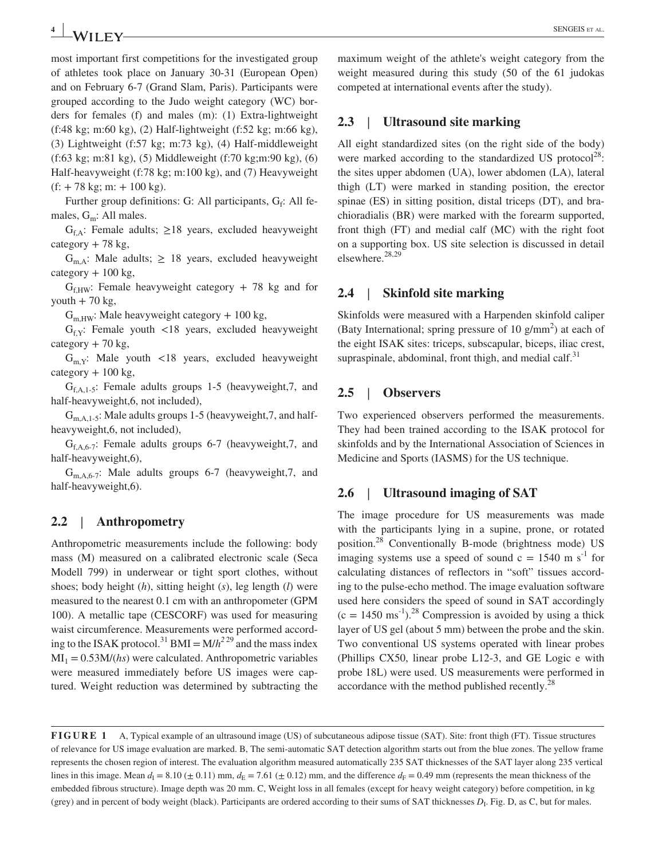most important first competitions for the investigated group of athletes took place on January 30‐31 (European Open) and on February 6‐7 (Grand Slam, Paris). Participants were grouped according to the Judo weight category (WC) borders for females (f) and males (m): (1) Extra‐lightweight (f:48 kg; m:60 kg), (2) Half‐lightweight (f:52 kg; m:66 kg), (3) Lightweight (f:57 kg; m:73 kg), (4) Half‐middleweight (f:63 kg; m:81 kg), (5) Middleweight (f:70 kg;m:90 kg), (6) Half-heavyweight (f:78 kg; m:100 kg), and (7) Heavyweight  $(f: + 78 \text{ kg}; \text{m}: + 100 \text{ kg}).$ 

Further group definitions: G: All participants, G<sub>f</sub>: All females,  $G_m$ : All males.

 $G_{f,A}$ : Female adults; ≥18 years, excluded heavyweight category  $+ 78$  kg,

 $G_{m,A}$ : Male adults;  $\geq$  18 years, excluded heavyweight category  $+100$  kg,

 $G<sub>fHW</sub>$ : Female heavyweight category + 78 kg and for youth  $+70$  kg,

 $G<sub>m HW</sub>$ : Male heavyweight category + 100 kg,

 $G_{f,Y}$ : Female youth <18 years, excluded heavyweight category  $+70$  kg,

 $G_{m}$ y: Male youth <18 years, excluded heavyweight category  $+100$  kg,

 $G_{f,A,1.5}$ : Female adults groups 1-5 (heavyweight, 7, and half-heavyweight, 6, not included),

 $G_{m,A,1-5}$ : Male adults groups 1-5 (heavyweight, 7, and halfheavyweight,6, not included),

 $G_{f,A,6-7}$ : Female adults groups 6-7 (heavyweight, 7, and half-heavyweight, 6),

 $G_{m,A,6-7}$ : Male adults groups 6-7 (heavyweight, 7, and half‐heavyweight,6).

# **2.2** | **Anthropometry**

Anthropometric measurements include the following: body mass (M) measured on a calibrated electronic scale (Seca Modell 799) in underwear or tight sport clothes, without shoes; body height (*h*), sitting height (*s*), leg length (*l*) were measured to the nearest 0.1 cm with an anthropometer (GPM 100). A metallic tape (CESCORF) was used for measuring waist circumference. Measurements were performed according to the ISAK protocol.<sup>31</sup> BMI =  $M/h^{229}$  and the mass index  $MI_1 = 0.53M/(hs)$  were calculated. Anthropometric variables were measured immediately before US images were captured. Weight reduction was determined by subtracting the maximum weight of the athlete's weight category from the weight measured during this study (50 of the 61 judokas competed at international events after the study).

# **2.3** | **Ultrasound site marking**

All eight standardized sites (on the right side of the body) were marked according to the standardized US protocol<sup>28</sup>: the sites upper abdomen (UA), lower abdomen (LA), lateral thigh (LT) were marked in standing position, the erector spinae (ES) in sitting position, distal triceps (DT), and brachioradialis (BR) were marked with the forearm supported, front thigh (FT) and medial calf (MC) with the right foot on a supporting box. US site selection is discussed in detail elsewhere.28,29

# **2.4** | **Skinfold site marking**

Skinfolds were measured with a Harpenden skinfold caliper (Baty International; spring pressure of 10  $\text{g/mm}^2$ ) at each of the eight ISAK sites: triceps, subscapular, biceps, iliac crest, supraspinale, abdominal, front thigh, and medial calf. $31$ 

## **2.5** | **Observers**

Two experienced observers performed the measurements. They had been trained according to the ISAK protocol for skinfolds and by the International Association of Sciences in Medicine and Sports (IASMS) for the US technique.

## **2.6** | **Ultrasound imaging of SAT**

The image procedure for US measurements was made with the participants lying in a supine, prone, or rotated position.28 Conventionally B‐mode (brightness mode) US imaging systems use a speed of sound  $c = 1540$  m s<sup>-1</sup> for calculating distances of reflectors in "soft" tissues according to the pulse‐echo method. The image evaluation software used here considers the speed of sound in SAT accordingly  $(c = 1450 \text{ ms}^{-1})^{28}$  Compression is avoided by using a thick layer of US gel (about 5 mm) between the probe and the skin. Two conventional US systems operated with linear probes (Phillips CX50, linear probe L12‐3, and GE Logic e with probe 18L) were used. US measurements were performed in accordance with the method published recently.<sup>28</sup>

**FIGURE 1** A, Typical example of an ultrasound image (US) of subcutaneous adipose tissue (SAT). Site: front thigh (FT). Tissue structures of relevance for US image evaluation are marked. B, The semi‐automatic SAT detection algorithm starts out from the blue zones. The yellow frame represents the chosen region of interest. The evaluation algorithm measured automatically 235 SAT thicknesses of the SAT layer along 235 vertical lines in this image. Mean  $d_1 = 8.10 \pm 0.11$ ) mm,  $d_E = 7.61 \pm 0.12$ ) mm, and the difference  $d_F = 0.49$  mm (represents the mean thickness of the embedded fibrous structure). Image depth was 20 mm. C, Weight loss in all females (except for heavy weight category) before competition, in kg (grey) and in percent of body weight (black). Participants are ordered according to their sums of SAT thicknesses  $D_1$ . Fig. D, as C, but for males.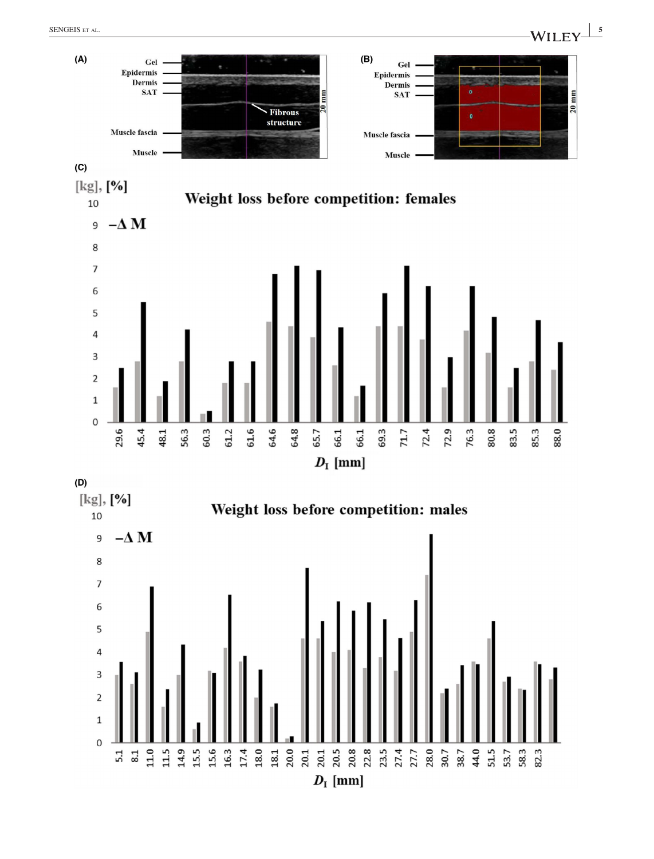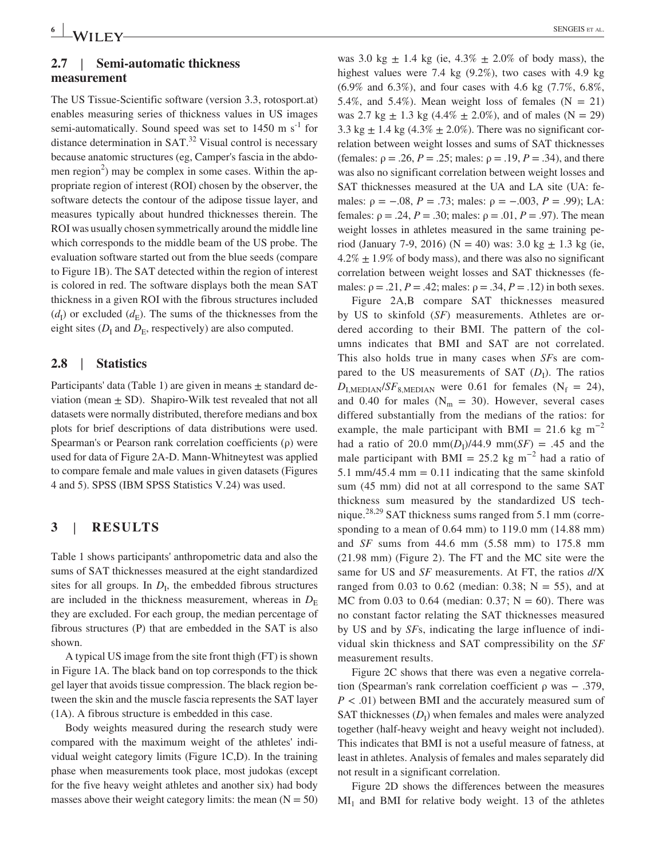# **2.7** | **Semi‐automatic thickness measurement**

The US Tissue‐Scientific software (version 3.3, rotosport.at) enables measuring series of thickness values in US images semi-automatically. Sound speed was set to  $1450 \text{ m s}^{-1}$  for distance determination in SAT. $^{32}$  Visual control is necessary because anatomic structures (eg, Camper's fascia in the abdomen region<sup>2</sup>) may be complex in some cases. Within the appropriate region of interest (ROI) chosen by the observer, the software detects the contour of the adipose tissue layer, and measures typically about hundred thicknesses therein. The ROI was usually chosen symmetrically around the middle line which corresponds to the middle beam of the US probe. The evaluation software started out from the blue seeds (compare to Figure 1B). The SAT detected within the region of interest is colored in red. The software displays both the mean SAT thickness in a given ROI with the fibrous structures included  $(d<sub>I</sub>)$  or excluded  $(d<sub>E</sub>)$ . The sums of the thicknesses from the eight sites  $(D_I \text{ and } D_E)$ , respectively) are also computed.

# **2.8** | **Statistics**

Participants' data (Table 1) are given in means  $\pm$  standard deviation (mean  $\pm$  SD). Shapiro-Wilk test revealed that not all datasets were normally distributed, therefore medians and box plots for brief descriptions of data distributions were used. Spearman's or Pearson rank correlation coefficients (ρ) were used for data of Figure 2A‐D. Mann‐Whitneytest was applied to compare female and male values in given datasets (Figures 4 and 5). SPSS (IBM SPSS Statistics V.24) was used.

# **3** | **RESULTS**

Table 1 shows participants' anthropometric data and also the sums of SAT thicknesses measured at the eight standardized sites for all groups. In  $D<sub>I</sub>$ , the embedded fibrous structures are included in the thickness measurement, whereas in  $D<sub>E</sub>$ they are excluded. For each group, the median percentage of fibrous structures (P) that are embedded in the SAT is also shown.

A typical US image from the site front thigh (FT) is shown in Figure 1A. The black band on top corresponds to the thick gel layer that avoids tissue compression. The black region between the skin and the muscle fascia represents the SAT layer (1A). A fibrous structure is embedded in this case.

Body weights measured during the research study were compared with the maximum weight of the athletes' individual weight category limits (Figure 1C,D). In the training phase when measurements took place, most judokas (except for the five heavy weight athletes and another six) had body masses above their weight category limits: the mean  $(N = 50)$  was 3.0 kg  $\pm$  1.4 kg (ie, 4.3%  $\pm$  2.0% of body mass), the highest values were 7.4 kg (9.2%), two cases with 4.9 kg (6.9% and 6.3%), and four cases with 4.6 kg (7.7%, 6.8%, 5.4%, and 5.4%). Mean weight loss of females  $(N = 21)$ was 2.7 kg  $\pm$  1.3 kg (4.4%  $\pm$  2.0%), and of males (N = 29) 3.3 kg  $\pm$  1.4 kg (4.3%  $\pm$  2.0%). There was no significant correlation between weight losses and sums of SAT thicknesses (females:  $\rho = .26$ ,  $P = .25$ ; males:  $\rho = .19$ ,  $P = .34$ ), and there was also no significant correlation between weight losses and SAT thicknesses measured at the UA and LA site (UA: females: ρ = −.08, *P* = .73; males: ρ = −.003, *P* = .99); LA: females:  $ρ = .24$ ,  $P = .30$ ; males:  $ρ = .01$ ,  $P = .97$ ). The mean weight losses in athletes measured in the same training period (January 7-9, 2016) (N = 40) was: 3.0 kg  $\pm$  1.3 kg (ie,  $4.2\% \pm 1.9\%$  of body mass), and there was also no significant correlation between weight losses and SAT thicknesses (females:  $\rho = .21$ ,  $P = .42$ ; males:  $\rho = .34$ ,  $P = .12$ ) in both sexes.

Figure 2A,B compare SAT thicknesses measured by US to skinfold (*SF*) measurements. Athletes are ordered according to their BMI. The pattern of the columns indicates that BMI and SAT are not correlated. This also holds true in many cases when *SF*s are compared to the US measurements of SAT  $(D<sub>I</sub>)$ . The ratios  $D_{\text{I},\text{MEDIAN}}/SF_{8,\text{MEDIAN}}$  were 0.61 for females (N<sub>f</sub> = 24), and 0.40 for males ( $N<sub>m</sub> = 30$ ). However, several cases differed substantially from the medians of the ratios: for example, the male participant with BMI =  $21.6 \text{ kg m}^{-2}$ had a ratio of 20.0  $mm(D<sub>I</sub>)/44.9$   $mm(SF) = .45$  and the male participant with BMI = 25.2 kg m<sup>-2</sup> had a ratio of 5.1 mm/45.4 mm  $= 0.11$  indicating that the same skinfold sum (45 mm) did not at all correspond to the same SAT thickness sum measured by the standardized US technique.28,29 SAT thickness sums ranged from 5.1 mm (corresponding to a mean of 0.64 mm) to 119.0 mm (14.88 mm) and *SF* sums from 44.6 mm (5.58 mm) to 175.8 mm (21.98 mm) (Figure 2). The FT and the MC site were the same for US and *SF* measurements. At FT, the ratios *d*/X ranged from 0.03 to 0.62 (median: 0.38;  $N = 55$ ), and at MC from 0.03 to 0.64 (median: 0.37;  $N = 60$ ). There was no constant factor relating the SAT thicknesses measured by US and by *SF*s, indicating the large influence of individual skin thickness and SAT compressibility on the *SF*  measurement results.

Figure 2C shows that there was even a negative correlation (Spearman's rank correlation coefficient ρ was − .379, *P* < .01) between BMI and the accurately measured sum of SAT thicknesses  $(D<sub>I</sub>)$  when females and males were analyzed together (half‐heavy weight and heavy weight not included). This indicates that BMI is not a useful measure of fatness, at least in athletes. Analysis of females and males separately did not result in a significant correlation.

Figure 2D shows the differences between the measures  $MI_1$  and BMI for relative body weight. 13 of the athletes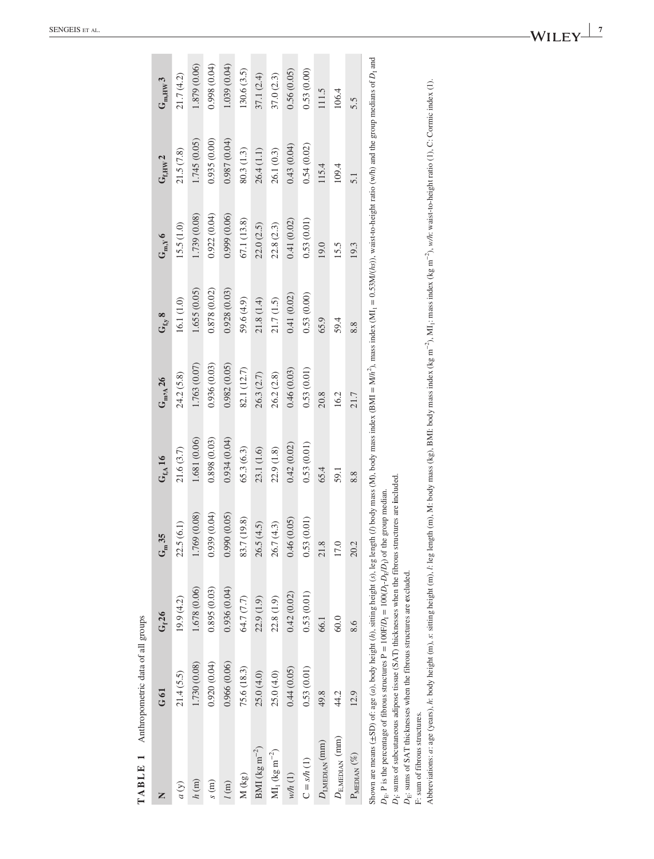|                                                                                                                                                                                                                                                    | $G$ 61       | $G_f$ 26     | 35<br>ٿئ       | $G_{f,A}$ 16 | $G_{\rm m/A}$ 26 | $G_{f,y}$ 8  | $G_{m,Y}$ 6  | $G_{\rm f,HW}$ 2 | $G_{m,HW}$ 3 |
|----------------------------------------------------------------------------------------------------------------------------------------------------------------------------------------------------------------------------------------------------|--------------|--------------|----------------|--------------|------------------|--------------|--------------|------------------|--------------|
| a(y)                                                                                                                                                                                                                                               | 21.4(5.5)    | 19.9(4.2)    | .5(6.1)<br>22. | 21.6 (3.7)   | 24.2 (5.8)       | 16.1 (1.0)   | 15.5 (1.0)   | 21.5(7.8)        | 21.7 (4.2)   |
| h(m)                                                                                                                                                                                                                                               | 1.730 (0.08) | 1.678 (0.06) | 1.769 (0.08)   | 1.681 (0.06) | 1.763 (0.07)     | 1.655 (0.05) | 1.739 (0.08) | 1.745 (0.05)     | 1.879 (0.06) |
| s(m)                                                                                                                                                                                                                                               | 0.920(0.04)  | 0.895(0.03)  | 0.939(0.04)    | 0.898(0.03)  | 0.936(0.03)      | 0.878(0.02)  | 0.922(0.04)  | 0.935(0.00)      | (40.018)     |
| $l$ (m)                                                                                                                                                                                                                                            | 0.966(0.06)  | 0.936(0.04)  | (0.990)(0.05)  | 0.934(0.04)  | 0.982(0.05)      | 0.928(0.03)  | 0.999 (0.06) | 0.987(0.04)      | 1.039 (0.04) |
| M (kg)                                                                                                                                                                                                                                             | 75.6 (18.3)  | 64.7 (7.7)   | 83.7 (19.8)    | 65.3 (6.3)   | 82.1 (12.7)      | 59.6 (4.9)   | 67.1 (13.8)  | 80.3 (1.3)       | (3.5)        |
| $\rm BMI\, (kg\ m^{-2})$                                                                                                                                                                                                                           | 25.0 (4.0)   | 22.9 (1.9)   | 26.5(4.5)      | 23.1 (1.6)   | 26.3 (2.7)       | 21.8 (1.4)   | 22.0 (2.5)   | 26.4 (1.1)       | 37.1 (2.4)   |
| $MI_1$ (kg m <sup>-2</sup> )                                                                                                                                                                                                                       | 25.0 (4.0)   | 22.8 (1.9)   | 26.7 (4.3)     | 22.9 (1.8)   | 26.2 (2.8)       | 21.7 (1.5)   | 22.8 (2.3)   | 26.1 (0.3)       | 37.0 (2.3)   |
| w/h(1)                                                                                                                                                                                                                                             | 0.44(0.05)   | 0.42(0.02)   | 0.46(0.05)     | 0.42(0.02)   | 0.46(0.03)       | 0.41(0.02)   | 0.41(0.02)   | 0.43(0.04)       | 0.56(0.05)   |
| $C = s/h(1)$                                                                                                                                                                                                                                       | 0.53(0.01)   | 0.53(0.01)   | 0.53(0.01)     | 0.53(0.01)   | 0.53(0.01)       | 0.53(0.00)   | 0.53(0.01)   | 0.54(0.02)       | 0.53(0.00)   |
| $D_{\text{I},\text{MEDIAN}}\left(\text{mm}\right)$                                                                                                                                                                                                 | 49.8         | 66.1         | œ<br>21.       | 65.4         | 20.8             | 65.9         | 19.0         | 115.4            | 111.5        |
| $D_{\rm E,MEDIAN}~(\rm mm)$                                                                                                                                                                                                                        | 44.2         | 60.0         | 17.0           | 59.1         | 16.2             | 59.4         | 15.5         | 109.4            | 106.4        |
| $P_{\text{MEDIAN}}(\%)$                                                                                                                                                                                                                            | 12.9         | 8.6          | 20.2           | 8.8          | 21.7             | 8.8          | 19.3         | 5.1              | 5.5          |
| Shown are means (±SD) of: age (a), body height (h), sitting height (s), leg length (l) body mass (M), body mass index (BMI = M/h <sup>2</sup> ), mass index (MI <sub>1</sub> = 0.53M/(hs)), waist-to-height ratio (w/h) and the group medians of D |              |              |                |              |                  |              |              |                  |              |

**TABLE 1** Anthropometric data of all groups

TABLE 1 Anthropometric data of all groups

 $D_{\text{E}}$ . P is the percentage of fibrous structures P = 100F/*D*<sub>1</sub> = 100(*D*<sub>1</sub>-*D*<sub>E</sub>/*D*<sub>1</sub>) of the group median.

 $D_{\rm E}$ . P is the percentage of fibrous structures  $P = 100F/D_1 = 100(D_1-D_{\rm E}/D_1)$  of the group median.<br> $D_{\rm E}$ : sums of subcutaneous adipose tissue (SAT) thicknesses when the fibrous structures are included.<br> $D_{\rm E}$ : s *D*I: sums of subcutaneous adipose tissue (SAT) thicknesses when the fibrous structures are **i**ncluded.

*D*E: sums of SAT thicknesses when the fibrous structures are **e**xcluded.

F: sum of fibrous structures.

Abbreviations: a: age (years), h: body height (m), s: sitting height (m), h: leg length (m), M: body mass (kg), BMI: body mass index (kg m<sup>-2</sup>), MI<sub>1</sub>: mass index (kg m<sup>-2</sup>), w/h: waist-to-height ratio (1), C: Cormic index Abbreviations: a: age (years), h: body height (m), s: sitting height (m), h: bg length (m), M: body mass (kg), BMI: body mass index (kg m<sup>-2</sup>), MI; mass index (kg m<sup>-2</sup>), w/h: waist-to-height ratio (1), C: Cormic index (1)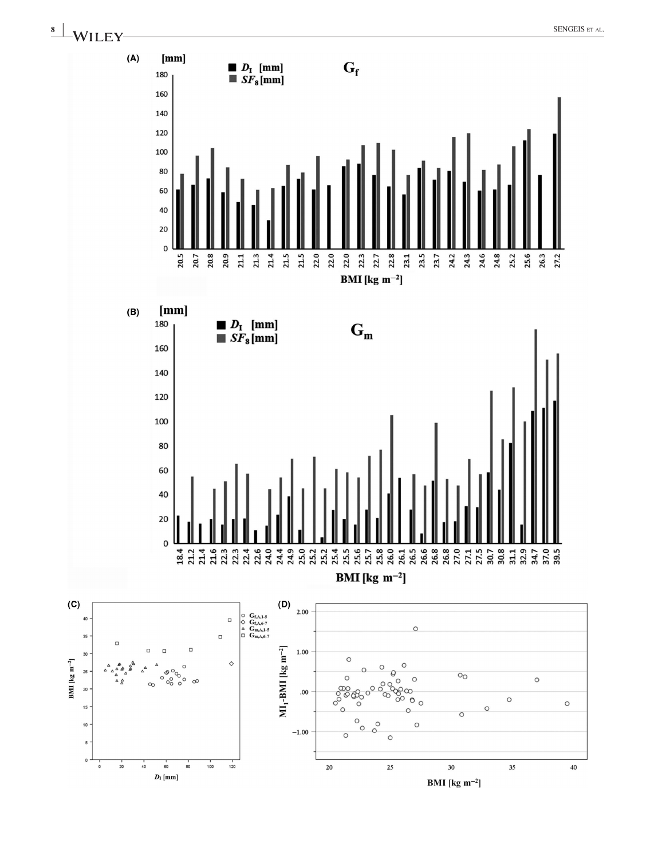

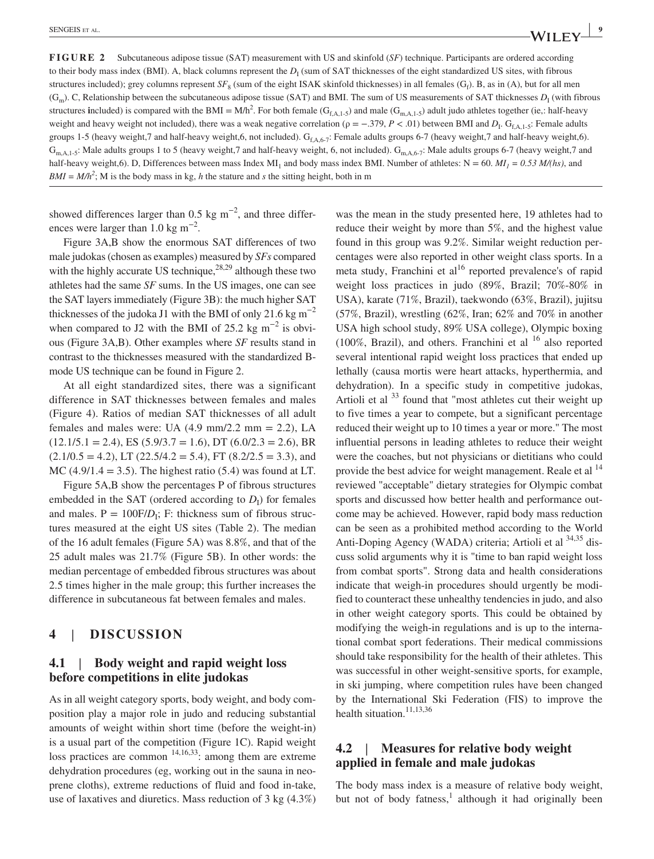**FIGURE 2** Subcutaneous adipose tissue (SAT) measurement with US and skinfold (*SF*) technique. Participants are ordered according to their body mass index (BMI). A, black columns represent the  $D<sub>I</sub>$  (sum of SAT thicknesses of the eight standardized US sites, with fibrous structures included); grey columns represent  $SF_8$  (sum of the eight ISAK skinfold thicknesses) in all females  $(G_f)$ . B, as in (A), but for all men  $(G_m)$ . C, Relationship between the subcutaneous adipose tissue (SAT) and BMI. The sum of US measurements of SAT thicknesses  $D_I$  (with fibrous structures included) is compared with the BMI =  $M/h^2$ . For both female (G<sub>f,A,1-5</sub>) and male (G<sub>m,A,1-5</sub>) adult judo athletes together (ie,: half-heavy weight and heavy weight not included), there was a weak negative correlation (ρ = −.379, *P* < .01) between BMI and *D*<sub>I</sub>. G<sub>f,A,1-5</sub>: Female adults groups 1-5 (heavy weight,7 and half-heavy weight,6, not included).  $G_{f,A,6-7}$ : Female adults groups 6-7 (heavy weight,7 and half-heavy weight,6).  $G_{m,A,1-5}$ : Male adults groups 1 to 5 (heavy weight,7 and half-heavy weight, 6, not included).  $G_{m,A,6-7}$ : Male adults groups 6-7 (heavy weight,7 and half-heavy weight,6). D, Differences between mass Index MI<sub>1</sub> and body mass index BMI. Number of athletes:  $N = 60$ .  $M_I = 0.53$  M/(hs), and  $BMI = M/h^2$ ; M is the body mass in kg, *h* the stature and *s* the sitting height, both in m

showed differences larger than 0.5 kg m<sup>-2</sup>, and three differences were larger than 1.0 kg  $m^{-2}$ .

Figure 3A,B show the enormous SAT differences of two male judokas (chosen as examples) measured by *SFs* compared with the highly accurate US technique, $^{28,29}$  although these two athletes had the same *SF* sums. In the US images, one can see the SAT layers immediately (Figure 3B): the much higher SAT thicknesses of the judoka J1 with the BMI of only 21.6 kg m<sup>-2</sup> when compared to J2 with the BMI of 25.2 kg m<sup>-2</sup> is obvious (Figure 3A,B). Other examples where *SF* results stand in contrast to the thicknesses measured with the standardized B‐ mode US technique can be found in Figure 2.

At all eight standardized sites, there was a significant difference in SAT thicknesses between females and males (Figure 4). Ratios of median SAT thicknesses of all adult females and males were: UA  $(4.9 \text{ mm}/2.2 \text{ mm} = 2.2)$ , LA  $(12.1/5.1 = 2.4)$ , ES  $(5.9/3.7 = 1.6)$ , DT  $(6.0/2.3 = 2.6)$ , BR  $(2.1/0.5 = 4.2)$ , LT  $(22.5/4.2 = 5.4)$ , FT  $(8.2/2.5 = 3.3)$ , and MC  $(4.9/1.4 = 3.5)$ . The highest ratio  $(5.4)$  was found at LT.

Figure 5A,B show the percentages P of fibrous structures embedded in the SAT (ordered according to  $D<sub>I</sub>$ ) for females and males.  $P = 100F/D_1$ ; F: thickness sum of fibrous structures measured at the eight US sites (Table 2). The median of the 16 adult females (Figure 5A) was 8.8%, and that of the 25 adult males was 21.7% (Figure 5B). In other words: the median percentage of embedded fibrous structures was about 2.5 times higher in the male group; this further increases the difference in subcutaneous fat between females and males.

# **4** | **DISCUSSION**

## **4.1** | **Body weight and rapid weight loss before competitions in elite judokas**

As in all weight category sports, body weight, and body composition play a major role in judo and reducing substantial amounts of weight within short time (before the weight‐in) is a usual part of the competition (Figure 1C). Rapid weight loss practices are common <sup>14,16,33</sup>: among them are extreme dehydration procedures (eg, working out in the sauna in neoprene cloths), extreme reductions of fluid and food in‐take, use of laxatives and diuretics. Mass reduction of 3 kg (4.3%) was the mean in the study presented here, 19 athletes had to reduce their weight by more than 5%, and the highest value found in this group was 9.2%. Similar weight reduction percentages were also reported in other weight class sports. In a meta study, Franchini et  $al^{16}$  reported prevalence's of rapid weight loss practices in judo (89%, Brazil; 70%‐80% in USA), karate (71%, Brazil), taekwondo (63%, Brazil), jujitsu (57%, Brazil), wrestling (62%, Iran; 62% and 70% in another USA high school study, 89% USA college), Olympic boxing (100%, Brazil), and others. Franchini et al  $^{16}$  also reported several intentional rapid weight loss practices that ended up lethally (causa mortis were heart attacks, hyperthermia, and dehydration). In a specific study in competitive judokas, Artioli et al  $33$  found that "most athletes cut their weight up to five times a year to compete, but a significant percentage reduced their weight up to 10 times a year or more." The most influential persons in leading athletes to reduce their weight were the coaches, but not physicians or dietitians who could provide the best advice for weight management. Reale et al <sup>14</sup> reviewed "acceptable" dietary strategies for Olympic combat sports and discussed how better health and performance outcome may be achieved. However, rapid body mass reduction can be seen as a prohibited method according to the World Anti-Doping Agency (WADA) criteria; Artioli et al <sup>34,35</sup> discuss solid arguments why it is "time to ban rapid weight loss from combat sports". Strong data and health considerations indicate that weigh-in procedures should urgently be modified to counteract these unhealthy tendencies in judo, and also in other weight category sports. This could be obtained by modifying the weigh‐in regulations and is up to the international combat sport federations. Their medical commissions should take responsibility for the health of their athletes. This was successful in other weight-sensitive sports, for example, in ski jumping, where competition rules have been changed by the International Ski Federation (FIS) to improve the health situation.<sup>11,13,36</sup>

# **4.2** | **Measures for relative body weight applied in female and male judokas**

The body mass index is a measure of relative body weight, but not of body fatness,<sup>1</sup> although it had originally been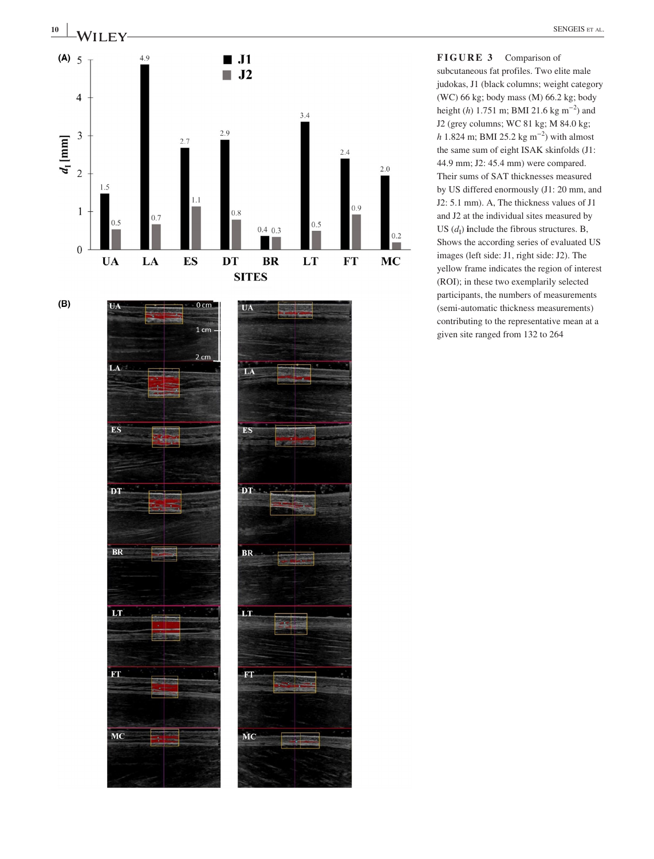

 $(B)$ 





ET AL.

**FIGURE 3** Comparison of subcutaneous fat profiles. Two elite male judokas, J1 (black columns; weight category (WC) 66 kg; body mass (M) 66.2 kg; body height ( *h*) 1.751 m; BMI 21.6 kg m−2) and J2 (grey columns; WC 81 kg; M 84.0 kg; *h* 1.824 m; BMI 25.2 kg m<sup>-2</sup>) with almost the same sum of eight ISAK skinfolds (J1: 44.9 mm; J2: 45.4 mm) were compared. Their sums of SAT thicknesses measured by US differed enormously (J1: 20 mm, and J2: 5.1 mm). A, The thickness values of J1 and J2 at the individual sites measured by US  $(d<sub>I</sub>)$  include the fibrous structures. B, Shows the according series of evaluated US images (left side: J1, right side: J2). The yellow frame indicates the region of interest (ROI); in these two exemplarily selected participants, the numbers of measurements (semi‐automatic thickness measurements) contributing to the representative mean at a given site ranged from 132 to 264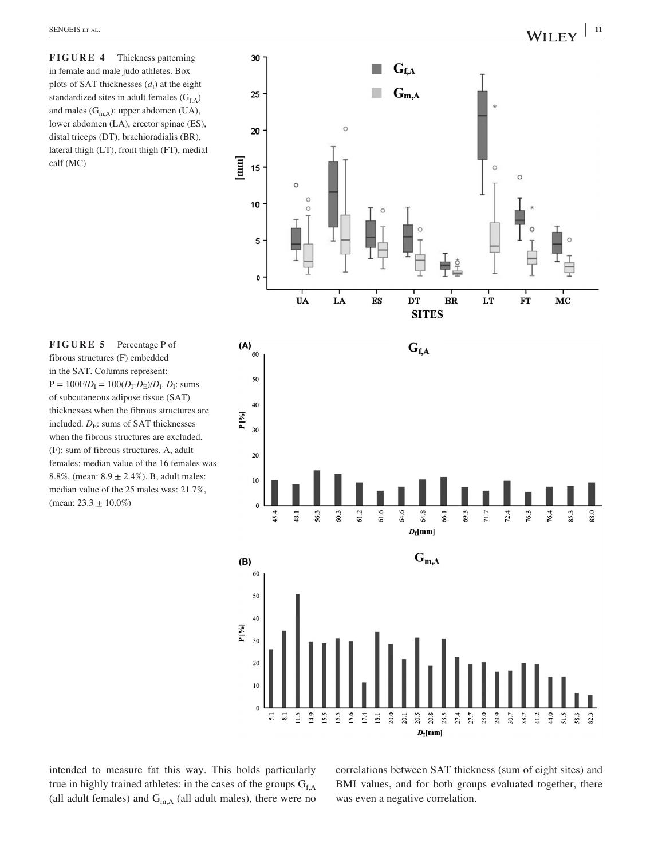**FIGURE 4** Thickness patterning in female and male judo athletes. Box plots of SAT thicknesses  $(d<sub>1</sub>)$  at the eight standardized sites in adult females  $(G<sub>f,A</sub>)$ and males  $(G_{m,A})$ : upper abdomen (UA), lower abdomen (LA), erector spinae (ES), distal triceps (DT), brachioradialis (BR), lateral thigh (LT), front thigh (FT), medial calf (MC)

 $P[%]$ 

 $P[%]$ 

 $11.5$ 

14.9 15.5 15.5 15.6 17.4 18.1 20.0 20.1  $20.5$ 20.8  $23.5$  $27.4$ 27.7 28.0 29.9 30.7 38.7 41.2 44.0  $51.5$ 58.3 82.3

 $5.1$  $8.1$ 

**FIGURE 5** Percentage P of fibrous structures (F) embedded in the SAT. Columns represent:  $P = 100F/D_I = 100(D_I - D_E)/D_I$ . *D<sub>I</sub>*: sums of subcutaneous adipose tissue (SAT) thicknesses when the fibrous structures are included.  $D_{\rm E}$ : sums of SAT thicknesses when the fibrous structures are excluded. (F): sum of fibrous structures. A, adult females: median value of the 16 females was 8.8%, (mean:  $8.9 \pm 2.4$ %). B, adult males: median value of the 25 males was: 21.7%, (mean:  $23.3 \pm 10.0\%$ )



intended to measure fat this way. This holds particularly true in highly trained athletes: in the cases of the groups  $G<sub>f,A</sub>$ (all adult females) and  $G_{m,A}$  (all adult males), there were no correlations between SAT thickness (sum of eight sites) and BMI values, and for both groups evaluated together, there was even a negative correlation.

 $D_{\rm I}[\rm mm]$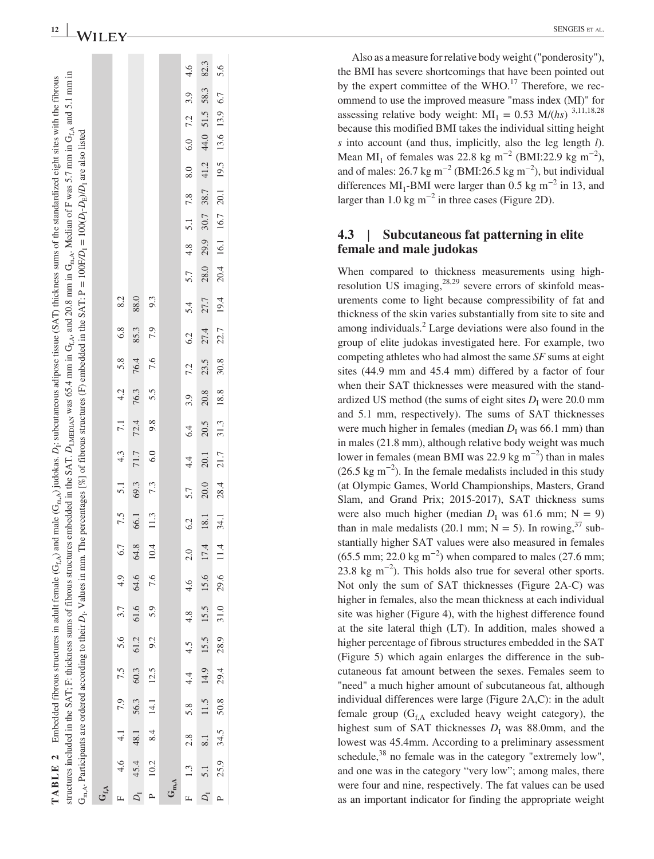|                                      |           |                 | structures included in the SAT; F: thickness sums of fibrous structures embedded in the SAT. D <sub>1MEDIAN</sub> was 65.4 mm in G <sub>1A</sub> , and 20.8 mm in G <sub>nA</sub> , Median of F was 5.7 mm in G <sub>1A</sub> and 5.1 mm in<br>$G_{m,A}$ . Participants are ordered according to their $D_i$ . Values in mm. The percentages [%] of fibrous structures (F) embedded in the SAT: P = 100F $D_1$ = 100( $D_f - D_2/D_1$ are also listed |     |     |      |         |      |               |           |                                                                                                  |                |      |      |                                         |                 |  |  |               |      |
|--------------------------------------|-----------|-----------------|-------------------------------------------------------------------------------------------------------------------------------------------------------------------------------------------------------------------------------------------------------------------------------------------------------------------------------------------------------------------------------------------------------------------------------------------------------|-----|-----|------|---------|------|---------------|-----------|--------------------------------------------------------------------------------------------------|----------------|------|------|-----------------------------------------|-----------------|--|--|---------------|------|
| $\mathbf{G}_{\mathbf{f},\mathbf{A}}$ |           |                 |                                                                                                                                                                                                                                                                                                                                                                                                                                                       |     |     |      |         |      |               |           |                                                                                                  |                |      |      |                                         |                 |  |  |               |      |
|                                      |           |                 | F 4.6 4.1 7.9 7.5 5.6 3.7 4.9 6.7                                                                                                                                                                                                                                                                                                                                                                                                                     |     |     |      |         |      |               |           | 7.5 5.1 4.3 7.1 4.2 5.8 6.8 8.2                                                                  |                |      |      |                                         |                 |  |  |               |      |
|                                      |           | $D_1$ 45.4 48.1 | 56.3 60.3 61.2 61.6 64.6                                                                                                                                                                                                                                                                                                                                                                                                                              |     |     | 64.8 | 66.1    | 69.3 | 71.7          | 72.4      | 76.3                                                                                             | 76.4           | 85.3 | 88.0 |                                         |                 |  |  |               |      |
|                                      |           |                 | P 10.2 8.4 14.1 12.5 9.2 5.9 7.6 10.4                                                                                                                                                                                                                                                                                                                                                                                                                 |     |     |      |         |      |               |           | 11.3 7.3 6.0 9.8 5.5 7.6 7.9 9.3                                                                 |                |      |      |                                         |                 |  |  |               |      |
| $G_{\text{m.A}}$                     |           |                 |                                                                                                                                                                                                                                                                                                                                                                                                                                                       |     |     |      |         |      |               |           |                                                                                                  |                |      |      |                                         |                 |  |  |               |      |
|                                      | $F = 1.3$ | 2.8             | 5.8 4.4 4.5                                                                                                                                                                                                                                                                                                                                                                                                                                           | 4.8 | 4.6 | 2.0  | 6.2     | 5.7  | $\frac{4}{4}$ | 6.4       | 3.9                                                                                              | 7.2            | 6.2  | 5.4  | 5.7                                     | 4.8 5.1 7.8 8.0 |  |  | $6.0$ 7.2 3.9 | 4.6  |
|                                      | $D_1$ 5.1 | $\frac{8.1}{2}$ | 11.5 14.9 15.5 15.5 15.6 17.4                                                                                                                                                                                                                                                                                                                                                                                                                         |     |     |      | $-18.1$ | 20.0 | $-20.1$       | 20.5 20.8 |                                                                                                  | 23.5 27.4 27.7 |      |      | 28.0 29.9 30.7 38.7 41.2 44.0 51.5 58.3 |                 |  |  |               | 82.3 |
|                                      |           |                 | P 25.9 34.5 50.8 29.4 28.9 31.0 29.6 11.4                                                                                                                                                                                                                                                                                                                                                                                                             |     |     |      | 34.1    |      |               |           | $28.4$ $21.7$ $31.3$ $18.8$ $30.8$ $22.7$ $19.4$ $16.1$ $16.7$ $20.1$ $19.5$ $13.6$ $13.9$ $6.7$ |                |      |      |                                         |                 |  |  |               | 5.6  |
|                                      |           |                 |                                                                                                                                                                                                                                                                                                                                                                                                                                                       |     |     |      |         |      |               |           |                                                                                                  |                |      |      |                                         |                 |  |  |               |      |

**TABLE 2**

TABLE 2

Embedded fibrous structures in adult female (G<sub>i,A</sub>) and male (G<sub>i,A</sub>) judokas. *D*<sub>i</sub>: subcutaneous adipose tissue (SAT) thickness sums of the standardized eight sites with the fibrous

Embedded fibrous structures in adult female  $(G_{r,A})$  and male  $(G_{m,A})$  judokas.  $D_f$ : subcutaneous adipose tissue (SAT) thickness sums of the standardized eight sites with the fibrous

Also as a measure for relative body weight ("ponderosity"), the BMI has severe shortcomings that have been pointed out by the expert committee of the  $WHO<sup>17</sup>$  Therefore, we recommend to use the improved measure "mass index (MI)" for assessing relative body weight:  $MI_1 = 0.53$   $M/(hs)$ <sup>3,11,18,28</sup> because this modified BMI takes the individual sitting height *s* into account (and thus, implicitly, also the leg length *l*). Mean MI<sub>1</sub> of females was 22.8 kg m<sup>-2</sup> (BMI:22.9 kg m<sup>-2</sup>), and of males: 26.7 kg m<sup>-2</sup> (BMI:26.5 kg m<sup>-2</sup>), but individual differences  $MI_1$ -BMI were larger than 0.5 kg m<sup>-2</sup> in 13, and larger than 1.0 kg m<sup> $-2$ </sup> in three cases (Figure 2D).

#### **4.3** | **Subcutaneous fat patterning in elite female and male judokas**

When compared to thickness measurements using highresolution US imaging,<sup>28,29</sup> severe errors of skinfold measurements come to light because compressibility of fat and thickness of the skin varies substantially from site to site and among individuals. 2 Large deviations were also found in the group of elite judokas investigated here. For example, two competing athletes who had almost the same *SF* sums at eight sites (44.9 mm and 45.4 mm) differed by a factor of four when their SAT thicknesses were measured with the standardized US method (the sums of eight sites  $D<sub>I</sub>$  were 20.0 mm and 5.1 mm, respectively). The sums of SAT thicknesses were much higher in females (median  $D<sub>I</sub>$  was 66.1 mm) than in males (21.8 mm), although relative body weight was much lower in females (mean BMI was 22.9 kg m<sup>-2</sup>) than in males  $(26.5 \text{ kg m}^{-2})$ . In the female medalists included in this study (at Olympic Games, World Championships, Masters, Grand Slam, and Grand Prix; 2015‐2017), SAT thickness sums were also much higher (median  $D<sub>I</sub>$  was 61.6 mm; N = 9) than in male medalists (20.1 mm;  $N = 5$ ). In rowing, <sup>37</sup> substantially higher SAT values were also measured in females  $(65.5 \text{ mm}; 22.0 \text{ kg m}^{-2})$  when compared to males (27.6 mm; 23.8 kg m<sup> $-2$ </sup>). This holds also true for several other sports. Not only the sum of SAT thicknesses (Figure 2A‐C) was higher in females, also the mean thickness at each individual site was higher (Figure 4), with the highest difference found at the site lateral thigh (LT). In addition, males showed a higher percentage of fibrous structures embedded in the SAT (Figure 5) which again enlarges the difference in the sub cutaneous fat amount between the sexes. Females seem to "need" a much higher amount of subcutaneous fat, although individual differences were large (Figure 2A,C): in the adult female group  $(G<sub>f,A</sub>$  excluded heavy weight category), the highest sum of SAT thicknesses  $D<sub>I</sub>$  was 88.0mm, and the lowest was 45.4mm. According to a preliminary assessment schedule,<sup>38</sup> no female was in the category "extremely low", and one was in the category "very low"; among males, there were four and nine, respectively. The fat values can be used as an important indicator for finding the appropriate weight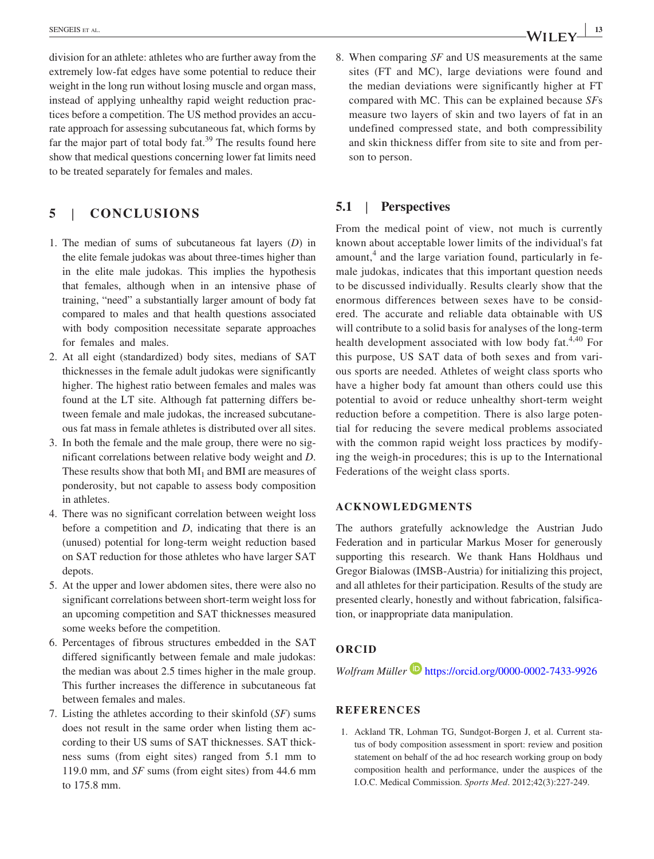division for an athlete: athletes who are further away from the extremely low‐fat edges have some potential to reduce their weight in the long run without losing muscle and organ mass, instead of applying unhealthy rapid weight reduction practices before a competition. The US method provides an accurate approach for assessing subcutaneous fat, which forms by far the major part of total body fat.<sup>39</sup> The results found here show that medical questions concerning lower fat limits need to be treated separately for females and males.

# **5** | **CONCLUSIONS**

- 1. The median of sums of subcutaneous fat layers (*D*) in the elite female judokas was about three‐times higher than in the elite male judokas. This implies the hypothesis that females, although when in an intensive phase of training, "need" a substantially larger amount of body fat compared to males and that health questions associated with body composition necessitate separate approaches for females and males.
- 2. At all eight (standardized) body sites, medians of SAT thicknesses in the female adult judokas were significantly higher. The highest ratio between females and males was found at the LT site. Although fat patterning differs between female and male judokas, the increased subcutaneous fat mass in female athletes is distributed over all sites.
- 3. In both the female and the male group, there were no significant correlations between relative body weight and *D*. These results show that both  $MI_1$  and BMI are measures of ponderosity, but not capable to assess body composition in athletes.
- 4. There was no significant correlation between weight loss before a competition and *D*, indicating that there is an (unused) potential for long‐term weight reduction based on SAT reduction for those athletes who have larger SAT depots.
- 5. At the upper and lower abdomen sites, there were also no significant correlations between short‐term weight loss for an upcoming competition and SAT thicknesses measured some weeks before the competition.
- 6. Percentages of fibrous structures embedded in the SAT differed significantly between female and male judokas: the median was about 2.5 times higher in the male group. This further increases the difference in subcutaneous fat between females and males.
- 7. Listing the athletes according to their skinfold (*SF*) sums does not result in the same order when listing them according to their US sums of SAT thicknesses. SAT thickness sums (from eight sites) ranged from 5.1 mm to 119.0 mm, and *SF* sums (from eight sites) from 44.6 mm to 175.8 mm.

8. When comparing *SF* and US measurements at the same sites (FT and MC), large deviations were found and the median deviations were significantly higher at FT compared with MC. This can be explained because *SF*s measure two layers of skin and two layers of fat in an undefined compressed state, and both compressibility and skin thickness differ from site to site and from person to person.

# **5.1** | **Perspectives**

From the medical point of view, not much is currently known about acceptable lower limits of the individual's fat amount, $4$  and the large variation found, particularly in female judokas, indicates that this important question needs to be discussed individually. Results clearly show that the enormous differences between sexes have to be considered. The accurate and reliable data obtainable with US will contribute to a solid basis for analyses of the long-term health development associated with low body fat. $4,40$  For this purpose, US SAT data of both sexes and from various sports are needed. Athletes of weight class sports who have a higher body fat amount than others could use this potential to avoid or reduce unhealthy short‐term weight reduction before a competition. There is also large potential for reducing the severe medical problems associated with the common rapid weight loss practices by modifying the weigh‐in procedures; this is up to the International Federations of the weight class sports.

#### **ACKNOWLEDGMENTS**

The authors gratefully acknowledge the Austrian Judo Federation and in particular Markus Moser for generously supporting this research. We thank Hans Holdhaus und Gregor Bialowas (IMSB‐Austria) for initializing this project, and all athletes for their participation. Results of the study are presented clearly, honestly and without fabrication, falsification, or inappropriate data manipulation.

## **ORCID**

*Wolfram Müller* **D** <https://orcid.org/0000-0002-7433-9926>

#### **REFERENCES**

1. Ackland TR, Lohman TG, Sundgot‐Borgen J, et al. Current status of body composition assessment in sport: review and position statement on behalf of the ad hoc research working group on body composition health and performance, under the auspices of the I.O.C. Medical Commission. *Sports Med*. 2012;42(3):227‐249.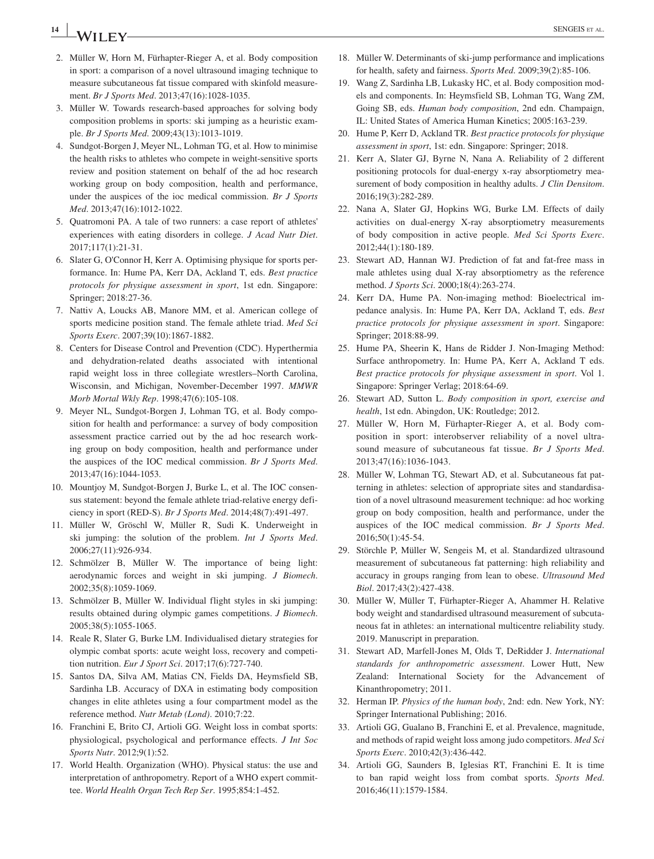# **<sup>14</sup> <sup>|</sup>** SENGEIS et al.

- 2. Müller W, Horn M, Fürhapter‐Rieger A, et al. Body composition in sport: a comparison of a novel ultrasound imaging technique to measure subcutaneous fat tissue compared with skinfold measurement. *Br J Sports Med*. 2013;47(16):1028‐1035.
- 3. Müller W. Towards research‐based approaches for solving body composition problems in sports: ski jumping as a heuristic example. *Br J Sports Med*. 2009;43(13):1013‐1019.
- 4. Sundgot‐Borgen J, Meyer NL, Lohman TG, et al. How to minimise the health risks to athletes who compete in weight‐sensitive sports review and position statement on behalf of the ad hoc research working group on body composition, health and performance, under the auspices of the ioc medical commission. *Br J Sports Med*. 2013;47(16):1012‐1022.
- 5. Quatromoni PA. A tale of two runners: a case report of athletes' experiences with eating disorders in college. *J Acad Nutr Diet*. 2017;117(1):21‐31.
- 6. Slater G, O'Connor H, Kerr A. Optimising physique for sports performance. In: Hume PA, Kerr DA, Ackland T, eds. *Best practice protocols for physique assessment in sport*, 1st edn. Singapore: Springer; 2018:27‐36.
- 7. Nattiv A, Loucks AB, Manore MM, et al. American college of sports medicine position stand. The female athlete triad. *Med Sci Sports Exerc*. 2007;39(10):1867‐1882.
- 8. Centers for Disease Control and Prevention (CDC). Hyperthermia and dehydration‐related deaths associated with intentional rapid weight loss in three collegiate wrestlers–North Carolina, Wisconsin, and Michigan, November‐December 1997. *MMWR Morb Mortal Wkly Rep*. 1998;47(6):105‐108.
- 9. Meyer NL, Sundgot‐Borgen J, Lohman TG, et al. Body composition for health and performance: a survey of body composition assessment practice carried out by the ad hoc research working group on body composition, health and performance under the auspices of the IOC medical commission. *Br J Sports Med*. 2013;47(16):1044‐1053.
- 10. Mountjoy M, Sundgot‐Borgen J, Burke L, et al. The IOC consensus statement: beyond the female athlete triad‐relative energy deficiency in sport (RED‐S). *Br J Sports Med*. 2014;48(7):491‐497.
- 11. Müller W, Gröschl W, Müller R, Sudi K. Underweight in ski jumping: the solution of the problem. *Int J Sports Med*. 2006;27(11):926‐934.
- 12. Schmölzer B, Müller W. The importance of being light: aerodynamic forces and weight in ski jumping. *J Biomech*. 2002;35(8):1059‐1069.
- 13. Schmölzer B, Müller W. Individual flight styles in ski jumping: results obtained during olympic games competitions. *J Biomech*. 2005;38(5):1055‐1065.
- 14. Reale R, Slater G, Burke LM. Individualised dietary strategies for olympic combat sports: acute weight loss, recovery and competition nutrition. *Eur J Sport Sci*. 2017;17(6):727‐740.
- 15. Santos DA, Silva AM, Matias CN, Fields DA, Heymsfield SB, Sardinha LB. Accuracy of DXA in estimating body composition changes in elite athletes using a four compartment model as the reference method. *Nutr Metab (Lond)*. 2010;7:22.
- 16. Franchini E, Brito CJ, Artioli GG. Weight loss in combat sports: physiological, psychological and performance effects. *J Int Soc Sports Nutr*. 2012;9(1):52.
- 17. World Health. Organization (WHO). Physical status: the use and interpretation of anthropometry. Report of a WHO expert committee. *World Health Organ Tech Rep Ser*. 1995;854:1‐452.
- 18. Müller W. Determinants of ski‐jump performance and implications for health, safety and fairness. *Sports Med*. 2009;39(2):85‐106.
- 19. Wang Z, Sardinha LB, Lukasky HC, et al. Body composition models and components. In: Heymsfield SB, Lohman TG, Wang ZM, Going SB, eds. *Human body composition*, 2nd edn. Champaign, IL: United States of America Human Kinetics; 2005:163‐239.
- 20. Hume P, Kerr D, Ackland TR. *Best practice protocols for physique assessment in sport*, 1st: edn. Singapore: Springer; 2018.
- 21. Kerr A, Slater GJ, Byrne N, Nana A. Reliability of 2 different positioning protocols for dual‐energy x‐ray absorptiometry measurement of body composition in healthy adults. *J Clin Densitom*. 2016;19(3):282‐289.
- 22. Nana A, Slater GJ, Hopkins WG, Burke LM. Effects of daily activities on dual‐energy X‐ray absorptiometry measurements of body composition in active people. *Med Sci Sports Exerc*. 2012;44(1):180‐189.
- 23. Stewart AD, Hannan WJ. Prediction of fat and fat‐free mass in male athletes using dual X‐ray absorptiometry as the reference method. *J Sports Sci*. 2000;18(4):263‐274.
- 24. Kerr DA, Hume PA. Non‐imaging method: Bioelectrical impedance analysis. In: Hume PA, Kerr DA, Ackland T, eds. *Best practice protocols for physique assessment in sport*. Singapore: Springer; 2018:88‐99.
- 25. Hume PA, Sheerin K, Hans de Ridder J. Non‐Imaging Method: Surface anthropometry. In: Hume PA, Kerr A, Ackland T eds. *Best practice protocols for physique assessment in sport*. Vol 1. Singapore: Springer Verlag; 2018:64‐69.
- 26. Stewart AD, Sutton L. *Body composition in sport, exercise and health*, 1st edn. Abingdon, UK: Routledge; 2012.
- 27. Müller W, Horn M, Fürhapter‐Rieger A, et al. Body composition in sport: interobserver reliability of a novel ultrasound measure of subcutaneous fat tissue. *Br J Sports Med*. 2013;47(16):1036‐1043.
- 28. Müller W, Lohman TG, Stewart AD, et al. Subcutaneous fat patterning in athletes: selection of appropriate sites and standardisation of a novel ultrasound measurement technique: ad hoc working group on body composition, health and performance, under the auspices of the IOC medical commission. *Br J Sports Med*. 2016;50(1):45‐54.
- 29. Störchle P, Müller W, Sengeis M, et al. Standardized ultrasound measurement of subcutaneous fat patterning: high reliability and accuracy in groups ranging from lean to obese. *Ultrasound Med Biol*. 2017;43(2):427‐438.
- 30. Müller W, Müller T, Fürhapter‐Rieger A, Ahammer H. Relative body weight and standardised ultrasound measurement of subcutaneous fat in athletes: an international multicentre reliability study. 2019. Manuscript in preparation.
- 31. Stewart AD, Marfell‐Jones M, Olds T, DeRidder J. *International standards for anthropometric assessment*. Lower Hutt, New Zealand: International Society for the Advancement of Kinanthropometry; 2011.
- 32. Herman IP. *Physics of the human body*, 2nd: edn. New York, NY: Springer International Publishing; 2016.
- 33. Artioli GG, Gualano B, Franchini E, et al. Prevalence, magnitude, and methods of rapid weight loss among judo competitors. *Med Sci Sports Exerc*. 2010;42(3):436‐442.
- 34. Artioli GG, Saunders B, Iglesias RT, Franchini E. It is time to ban rapid weight loss from combat sports. *Sports Med*. 2016;46(11):1579‐1584.